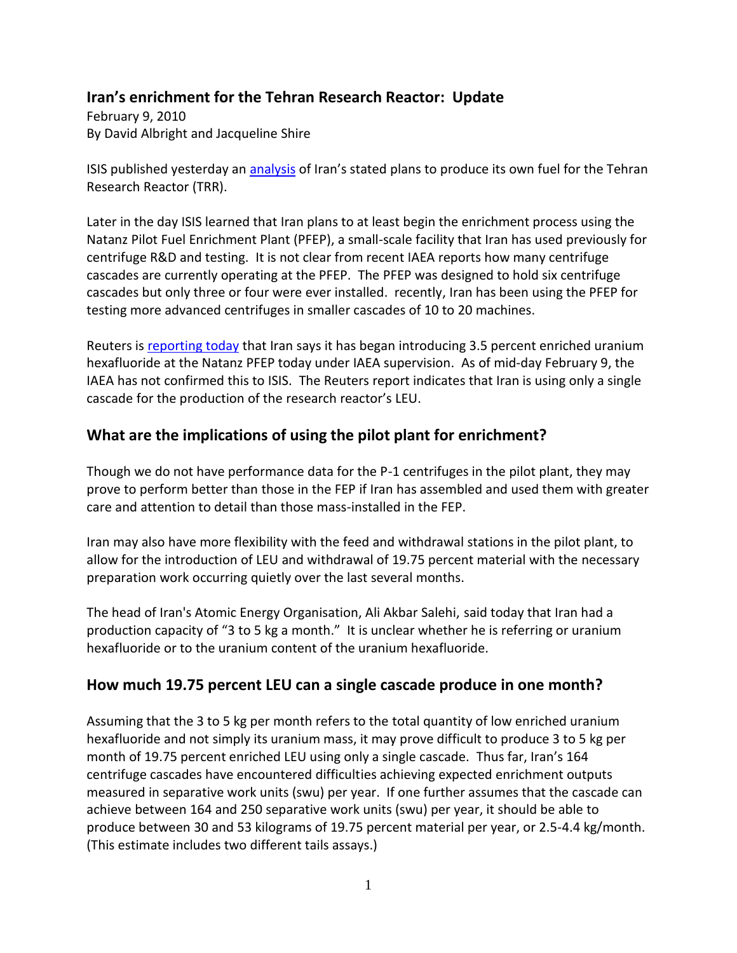## **Iran's enrichment for the Tehran Research Reactor: Update**

February 9, 2010 By David Albright and Jacqueline Shire

ISIS published yesterday an [analysis](http://www.isisnucleariran.org/assets/pdf/TRR_Fact_Sheet_8Feb2010.pdf) of Iran's stated plans to produce its own fuel for the Tehran Research Reactor (TRR).

Later in the day ISIS learned that Iran plans to at least begin the enrichment process using the Natanz Pilot Fuel Enrichment Plant (PFEP), a small-scale facility that Iran has used previously for centrifuge R&D and testing. It is not clear from recent IAEA reports how many centrifuge cascades are currently operating at the PFEP. The PFEP was designed to hold six centrifuge cascades but only three or four were ever installed. recently, Iran has been using the PFEP for testing more advanced centrifuges in smaller cascades of 10 to 20 machines.

Reuters is [reporting today](http://www.nytimes.com/reuters/2010/02/09/world/international-uk-iran-nuclear.html) that Iran says it has began introducing 3.5 percent enriched uranium hexafluoride at the Natanz PFEP today under IAEA supervision. As of mid-day February 9, the IAEA has not confirmed this to ISIS. The Reuters report indicates that Iran is using only a single cascade for the production of the research reactor's LEU.

## **What are the implications of using the pilot plant for enrichment?**

Though we do not have performance data for the P-1 centrifuges in the pilot plant, they may prove to perform better than those in the FEP if Iran has assembled and used them with greater care and attention to detail than those mass-installed in the FEP.

Iran may also have more flexibility with the feed and withdrawal stations in the pilot plant, to allow for the introduction of LEU and withdrawal of 19.75 percent material with the necessary preparation work occurring quietly over the last several months.

The head of Iran's Atomic Energy Organisation, Ali Akbar Salehi, said today that Iran had a production capacity of "3 to 5 kg a month." It is unclear whether he is referring or uranium hexafluoride or to the uranium content of the uranium hexafluoride.

## **How much 19.75 percent LEU can a single cascade produce in one month?**

Assuming that the 3 to 5 kg per month refers to the total quantity of low enriched uranium hexafluoride and not simply its uranium mass, it may prove difficult to produce 3 to 5 kg per month of 19.75 percent enriched LEU using only a single cascade. Thus far, Iran's 164 centrifuge cascades have encountered difficulties achieving expected enrichment outputs measured in separative work units (swu) per year. If one further assumes that the cascade can achieve between 164 and 250 separative work units (swu) per year, it should be able to produce between 30 and 53 kilograms of 19.75 percent material per year, or 2.5-4.4 kg/month. (This estimate includes two different tails assays.)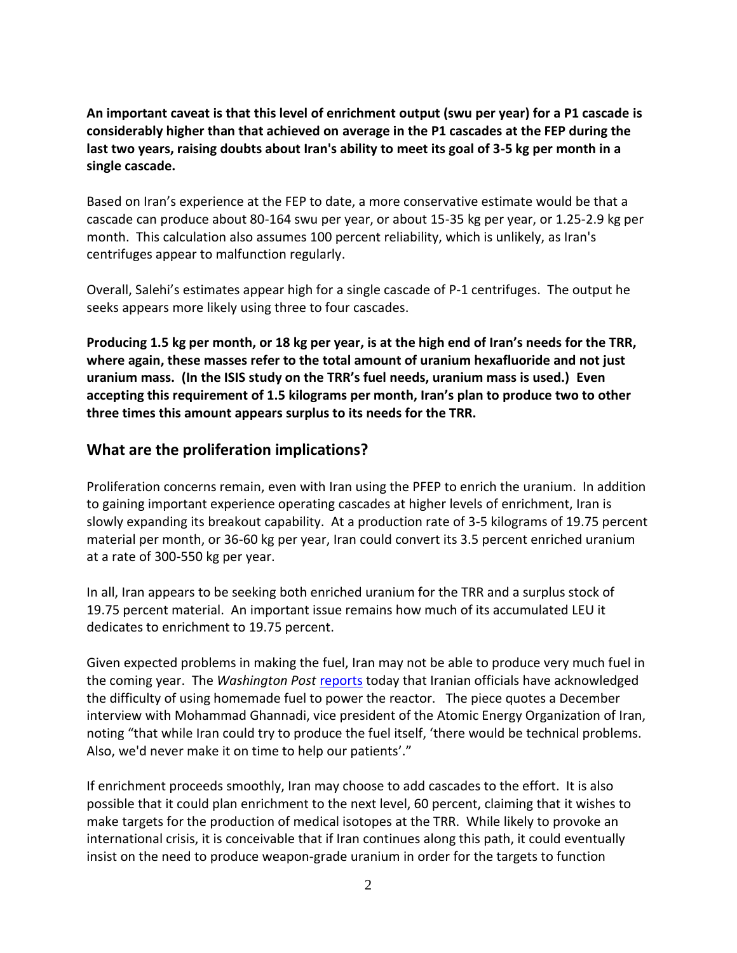**An important caveat is that this level of enrichment output (swu per year) for a P1 cascade is considerably higher than that achieved on average in the P1 cascades at the FEP during the last two years, raising doubts about Iran's ability to meet its goal of 3-5 kg per month in a single cascade.** 

Based on Iran's experience at the FEP to date, a more conservative estimate would be that a cascade can produce about 80-164 swu per year, or about 15-35 kg per year, or 1.25-2.9 kg per month. This calculation also assumes 100 percent reliability, which is unlikely, as Iran's centrifuges appear to malfunction regularly.

Overall, Salehi's estimates appear high for a single cascade of P-1 centrifuges. The output he seeks appears more likely using three to four cascades.

**Producing 1.5 kg per month, or 18 kg per year, is at the high end of Iran's needs for the TRR, where again, these masses refer to the total amount of uranium hexafluoride and not just uranium mass. (In the ISIS study on the TRR's fuel needs, uranium mass is used.) Even accepting this requirement of 1.5 kilograms per month, Iran's plan to produce two to other three times this amount appears surplus to its needs for the TRR.**

## **What are the proliferation implications?**

Proliferation concerns remain, even with Iran using the PFEP to enrich the uranium. In addition to gaining important experience operating cascades at higher levels of enrichment, Iran is slowly expanding its breakout capability. At a production rate of 3-5 kilograms of 19.75 percent material per month, or 36-60 kg per year, Iran could convert its 3.5 percent enriched uranium at a rate of 300-550 kg per year.

In all, Iran appears to be seeking both enriched uranium for the TRR and a surplus stock of 19.75 percent material. An important issue remains how much of its accumulated LEU it dedicates to enrichment to 19.75 percent.

Given expected problems in making the fuel, Iran may not be able to produce very much fuel in the coming year. The *Washington Post* [reports](http://www.washingtonpost.com/wp-dyn/content/article/2010/02/09/AR2010020900396.html) today that Iranian officials have acknowledged the difficulty of using homemade fuel to power the reactor. The piece quotes a December interview with Mohammad Ghannadi, vice president of the Atomic Energy Organization of Iran, noting "that while Iran could try to produce the fuel itself, 'there would be technical problems. Also, we'd never make it on time to help our patients'."

If enrichment proceeds smoothly, Iran may choose to add cascades to the effort. It is also possible that it could plan enrichment to the next level, 60 percent, claiming that it wishes to make targets for the production of medical isotopes at the TRR. While likely to provoke an international crisis, it is conceivable that if Iran continues along this path, it could eventually insist on the need to produce weapon-grade uranium in order for the targets to function